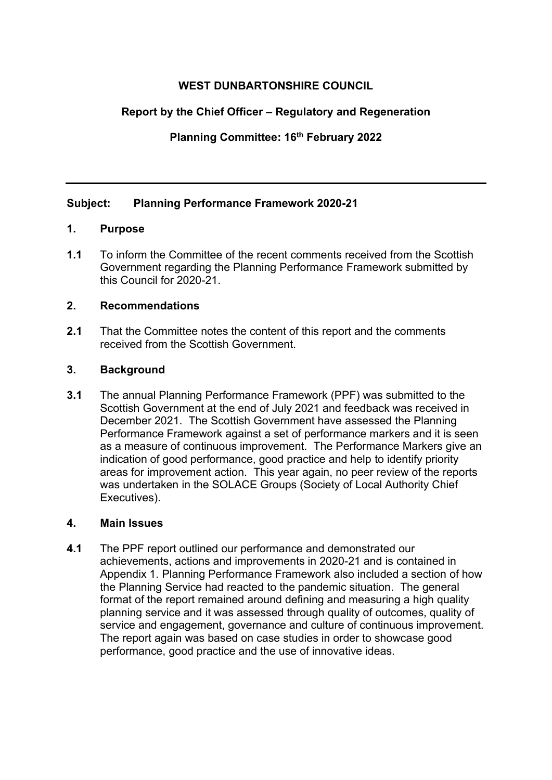# **WEST DUNBARTONSHIRE COUNCIL**

# **Report by the Chief Officer – Regulatory and Regeneration**

**Planning Committee: 16th February 2022** 

# **Subject: Planning Performance Framework 2020-21**

# **1. Purpose**

**1.1** To inform the Committee of the recent comments received from the Scottish Government regarding the Planning Performance Framework submitted by this Council for 2020-21.

#### **2. Recommendations**

**2.1** That the Committee notes the content of this report and the comments received from the Scottish Government.

#### **3. Background**

**3.1** The annual Planning Performance Framework (PPF) was submitted to the Scottish Government at the end of July 2021 and feedback was received in December 2021. The Scottish Government have assessed the Planning Performance Framework against a set of performance markers and it is seen as a measure of continuous improvement. The Performance Markers give an indication of good performance, good practice and help to identify priority areas for improvement action. This year again, no peer review of the reports was undertaken in the SOLACE Groups (Society of Local Authority Chief Executives).

#### **4. Main Issues**

**4.1** The PPF report outlined our performance and demonstrated our achievements, actions and improvements in 2020-21 and is contained in Appendix 1. Planning Performance Framework also included a section of how the Planning Service had reacted to the pandemic situation. The general format of the report remained around defining and measuring a high quality planning service and it was assessed through quality of outcomes, quality of service and engagement, governance and culture of continuous improvement. The report again was based on case studies in order to showcase good performance, good practice and the use of innovative ideas.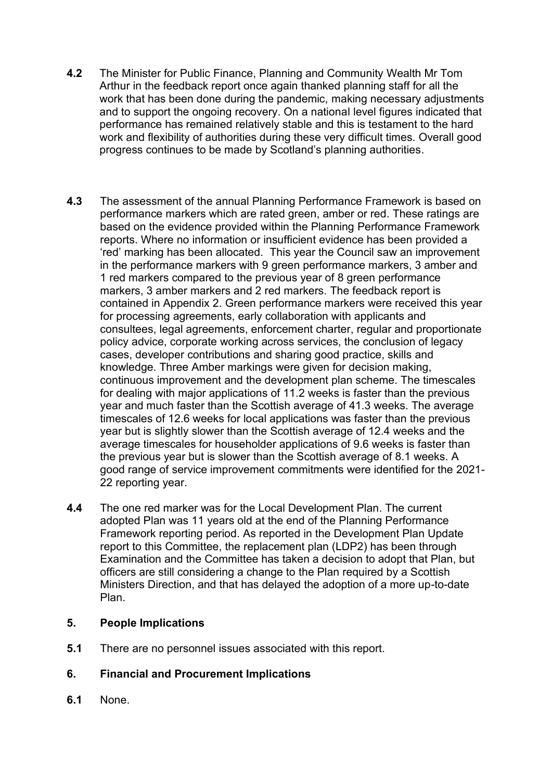- **4.2** The Minister for Public Finance, Planning and Community Wealth Mr Tom Arthur in the feedback report once again thanked planning staff for all the work that has been done during the pandemic, making necessary adjustments and to support the ongoing recovery. On a national level figures indicated that performance has remained relatively stable and this is testament to the hard work and flexibility of authorities during these very difficult times. Overall good progress continues to be made by Scotland's planning authorities.
- **4.3** The assessment of the annual Planning Performance Framework is based on performance markers which are rated green, amber or red. These ratings are based on the evidence provided within the Planning Performance Framework reports. Where no information or insufficient evidence has been provided a 'red' marking has been allocated. This year the Council saw an improvement in the performance markers with 9 green performance markers, 3 amber and 1 red markers compared to the previous year of 8 green performance markers, 3 amber markers and 2 red markers. The feedback report is contained in Appendix 2. Green performance markers were received this year for processing agreements, early collaboration with applicants and consultees, legal agreements, enforcement charter, regular and proportionate policy advice, corporate working across services, the conclusion of legacy cases, developer contributions and sharing good practice, skills and knowledge. Three Amber markings were given for decision making, continuous improvement and the development plan scheme. The timescales for dealing with major applications of 11.2 weeks is faster than the previous year and much faster than the Scottish average of 41.3 weeks. The average timescales of 12.6 weeks for local applications was faster than the previous year but is slightly slower than the Scottish average of 12.4 weeks and the average timescales for householder applications of 9.6 weeks is faster than the previous year but is slower than the Scottish average of 8.1 weeks. A good range of service improvement commitments were identified for the 2021- 22 reporting year.
- **4.4** The one red marker was for the Local Development Plan. The current adopted Plan was 11 years old at the end of the Planning Performance Framework reporting period. As reported in the Development Plan Update report to this Committee, the replacement plan (LDP2) has been through Examination and the Committee has taken a decision to adopt that Plan, but officers are still considering a change to the Plan required by a Scottish Ministers Direction, and that has delayed the adoption of a more up-to-date Plan.

## **5. People Implications**

**5.1** There are no personnel issues associated with this report.

# **6. Financial and Procurement Implications**

**6.1** None.